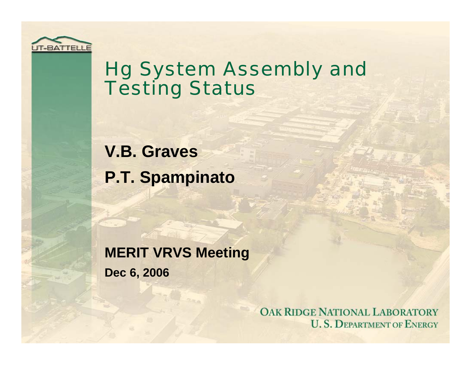

## Hg System Assembly and **Testing Status**

**V.B. Graves P.T. Spampinato**

**MERIT VRVS Meeting**

**Dec 6, 2006**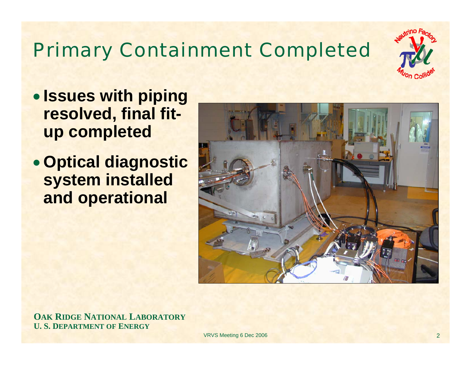# Primary Containment Completed



- **Issues with piping resolved, final fitup completed**
- **Optical diagnostic system installed and operational**



**OAK RIDGE NATIONAL LABORATORY U. S. DEPARTMENT OF ENERGY**

VRVS Meeting 6 Dec 2006 2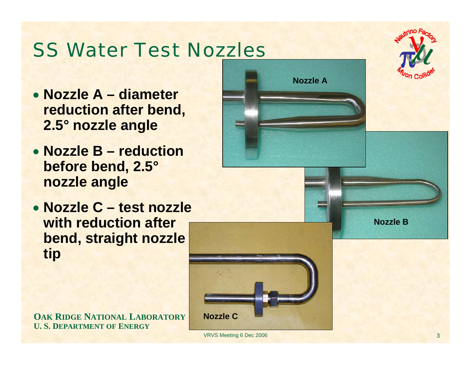## SS Water Test Nozzles

- **Nozzle A – diameter reduction after bend, 2.5° nozzle angle**
- **Nozzle B – reduction before bend, 2.5° nozzle angle**
- **Nozzle C – test nozzle with reduction after bend, straight nozzle tip**

**OAK RIDGE NATIONAL LABORATORY U. S. DEPARTMENT OF ENERGY**



VRVS Meeting 6 Dec 2006 3 3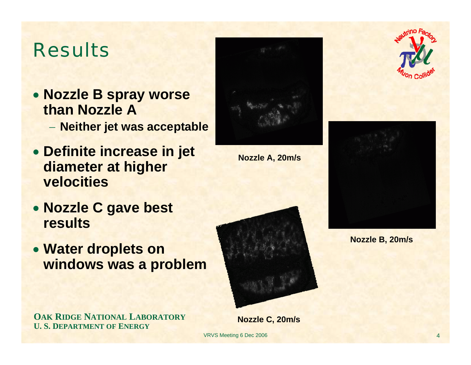## Results

• **Nozzle B spray worse than Nozzle A**

**Neither jet was acceptable**

- **Definite increase in jet diameter at higher velocities**
- **Nozzle C gave best results**
- **Water droplets on windows was a problem**





**Nozzle A, 20m/s**





VRVS Meeting 6 Dec 2006





**Nozzle B, 20m/s**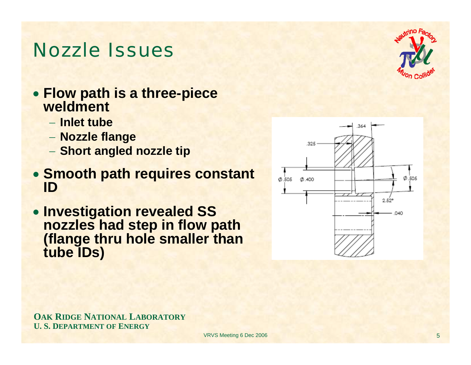### Nozzle Issues

- **Flow path is a three-piece weldment**
	- − **Inlet tube**
	- **Nozzle flange**
	- **Short angled nozzle tip**
- **Smooth path requires constant ID**
- **Investigation revealed SS nozzles had step in flow path (flange thru hole smaller than tube IDs)**



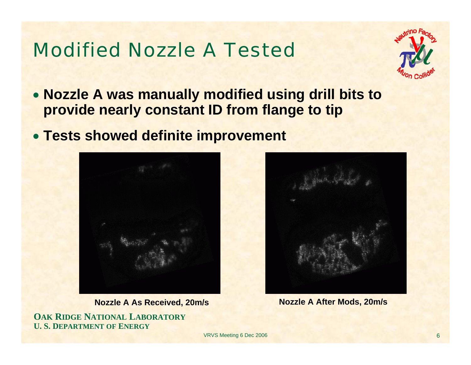## Modified Nozzle A Tested



- **Nozzle A was manually modified using drill bits to provide nearly constant ID from flange to tip**
- **Tests showed definite improvement**



**Nozzle A As Received, 20m/s Nozzle A After Mods, 20m/s**

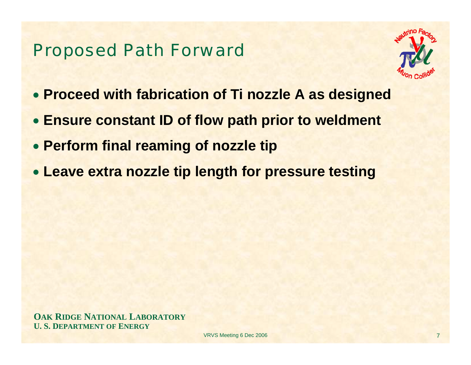#### Proposed Path Forward



- **Proceed with fabrication of Ti nozzle A as designed**
- **Ensure constant ID of flow path prior to weldment**
- **Perform final reaming of nozzle tip**
- **Leave extra nozzle tip length for pressure testing**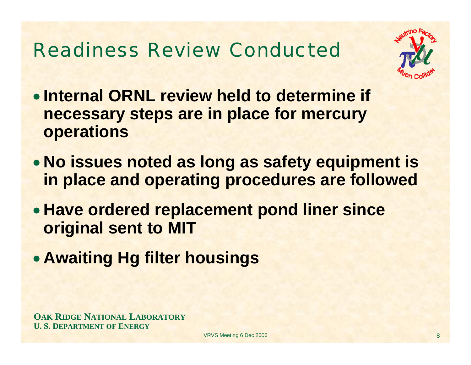## Readiness Review Conducted



- **Internal ORNL review held to determine if necessary steps are in place for mercury operations**
- **No issues noted as long as safety equipment is in place and operating procedures are followed**
- **Have ordered replacement pond liner since original sent to MIT**
- **Awaiting Hg filter housings**